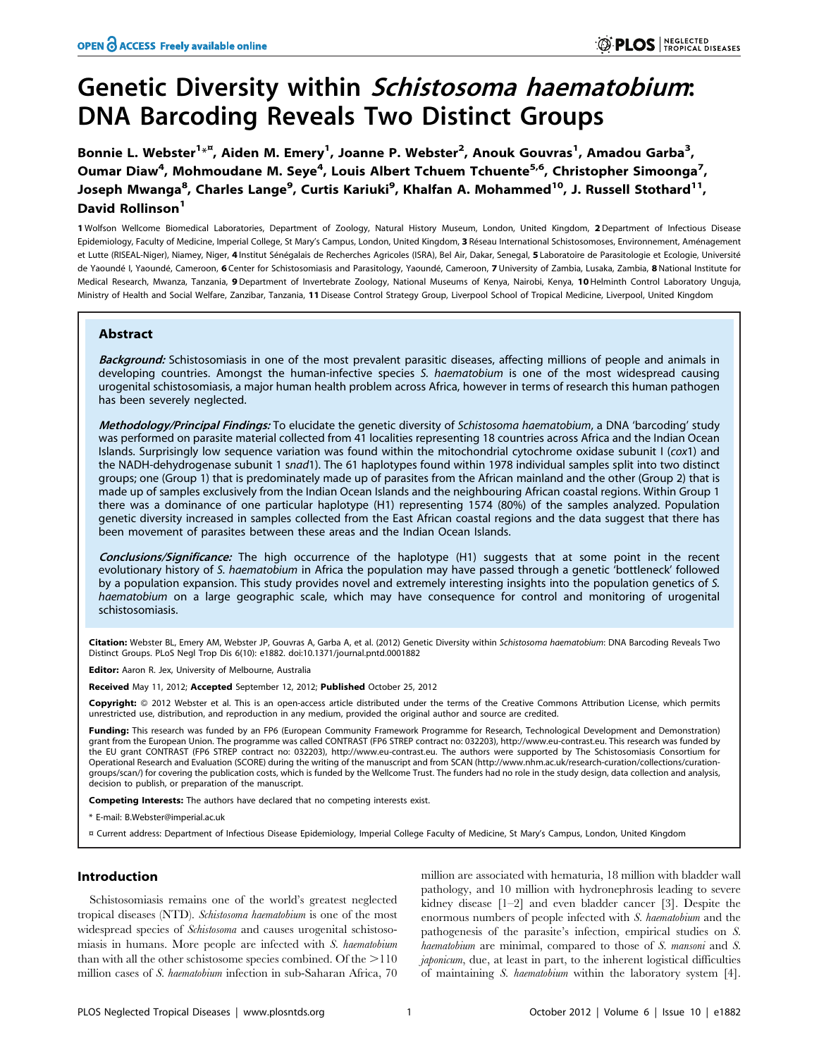# Genetic Diversity within Schistosoma haematobium: DNA Barcoding Reveals Two Distinct Groups

Bonnie L. Webster<sup>1\*¤</sup>, Aiden M. Emery<sup>1</sup>, Joanne P. Webster<sup>2</sup>, Anouk Gouvras<sup>1</sup>, Amadou Garba<sup>3</sup>, Oumar Diaw<sup>4</sup>, Mohmoudane M. Seye<sup>4</sup>, Louis Albert Tchuem Tchuente<sup>5,6</sup>, Christopher Simoonga<sup>7</sup>, Joseph Mwanga<sup>8</sup>, Charles Lange<sup>9</sup>, Curtis Kariuki<sup>9</sup>, Khalfan A. Mohammed<sup>10</sup>, J. Russell Stothard<sup>11</sup>, David Rollinson<sup>1</sup>

1 Wolfson Wellcome Biomedical Laboratories, Department of Zoology, Natural History Museum, London, United Kingdom, 2 Department of Infectious Disease Epidemiology, Faculty of Medicine, Imperial College, St Mary's Campus, London, United Kingdom, 3 Réseau International Schistosomoses, Environnement, Aménagement et Lutte (RISEAL-Niger), Niamey, Niger, 4 Institut Sénégalais de Recherches Agricoles (ISRA), Bel Air, Dakar, Senegal, 5 Laboratoire de Parasitologie et Ecologie, Université de Yaoundé I, Yaoundé, Cameroon, 6 Center for Schistosomiasis and Parasitology, Yaoundé, Cameroon, 7 University of Zambia, Lusaka, Zambia, 8 National Institute for Medical Research, Mwanza, Tanzania, 9 Department of Invertebrate Zoology, National Museums of Kenya, Nairobi, Kenya, 10 Helminth Control Laboratory Unguja, Ministry of Health and Social Welfare, Zanzibar, Tanzania, 11 Disease Control Strategy Group, Liverpool School of Tropical Medicine, Liverpool, United Kingdom

# Abstract

Background: Schistosomiasis in one of the most prevalent parasitic diseases, affecting millions of people and animals in developing countries. Amongst the human-infective species S. haematobium is one of the most widespread causing urogenital schistosomiasis, a major human health problem across Africa, however in terms of research this human pathogen has been severely neglected.

Methodology/Principal Findings: To elucidate the genetic diversity of Schistosoma haematobium, a DNA 'barcoding' study was performed on parasite material collected from 41 localities representing 18 countries across Africa and the Indian Ocean Islands. Surprisingly low sequence variation was found within the mitochondrial cytochrome oxidase subunit I (cox1) and the NADH-dehydrogenase subunit 1 snad1). The 61 haplotypes found within 1978 individual samples split into two distinct groups; one (Group 1) that is predominately made up of parasites from the African mainland and the other (Group 2) that is made up of samples exclusively from the Indian Ocean Islands and the neighbouring African coastal regions. Within Group 1 there was a dominance of one particular haplotype (H1) representing 1574 (80%) of the samples analyzed. Population genetic diversity increased in samples collected from the East African coastal regions and the data suggest that there has been movement of parasites between these areas and the Indian Ocean Islands.

Conclusions/Significance: The high occurrence of the haplotype (H1) suggests that at some point in the recent evolutionary history of S. haematobium in Africa the population may have passed through a genetic 'bottleneck' followed by a population expansion. This study provides novel and extremely interesting insights into the population genetics of S. haematobium on a large geographic scale, which may have consequence for control and monitoring of urogenital schistosomiasis.

Citation: Webster BL, Emery AM, Webster JP, Gouvras A, Garba A, et al. (2012) Genetic Diversity within Schistosoma haematobium: DNA Barcoding Reveals Two Distinct Groups. PLoS Negl Trop Dis 6(10): e1882. doi:10.1371/journal.pntd.0001882

Editor: Aaron R. Jex, University of Melbourne, Australia

Received May 11, 2012; Accepted September 12, 2012; Published October 25, 2012

Copyright: © 2012 Webster et al. This is an open-access article distributed under the terms of the Creative Commons Attribution License, which permits unrestricted use, distribution, and reproduction in any medium, provided the original author and source are credited.

Funding: This research was funded by an FP6 (European Community Framework Programme for Research, Technological Development and Demonstration) grant from the European Union. The programme was called CONTRAST (FP6 STREP contract no: 032203), http://www.eu-contrast.eu. This research was funded by the EU grant CONTRAST (FP6 STREP contract no: 032203), http://www.eu-contrast.eu. The authors were supported by The Schistosomiasis Consortium for Operational Research and Evaluation (SCORE) during the writing of the manuscript and from SCAN (http://www.nhm.ac.uk/research-curation/collections/curationgroups/scan/) for covering the publication costs, which is funded by the Wellcome Trust. The funders had no role in the study design, data collection and analysis, decision to publish, or preparation of the manuscript.

Competing Interests: The authors have declared that no competing interests exist.

\* E-mail: B.Webster@imperial.ac.uk

¤ Current address: Department of Infectious Disease Epidemiology, Imperial College Faculty of Medicine, St Mary's Campus, London, United Kingdom

# Introduction

Schistosomiasis remains one of the world's greatest neglected tropical diseases (NTD). Schistosoma haematobium is one of the most widespread species of *Schistosoma* and causes urogenital schistosomiasis in humans. More people are infected with S. haematobium than with all the other schistosome species combined. Of the  $>110$ million cases of S. haematobium infection in sub-Saharan Africa, 70

million are associated with hematuria, 18 million with bladder wall pathology, and 10 million with hydronephrosis leading to severe kidney disease [1–2] and even bladder cancer [3]. Despite the enormous numbers of people infected with S. haematobium and the pathogenesis of the parasite's infection, empirical studies on S. haematobium are minimal, compared to those of S. mansoni and S. japonicum, due, at least in part, to the inherent logistical difficulties of maintaining S. haematobium within the laboratory system [4].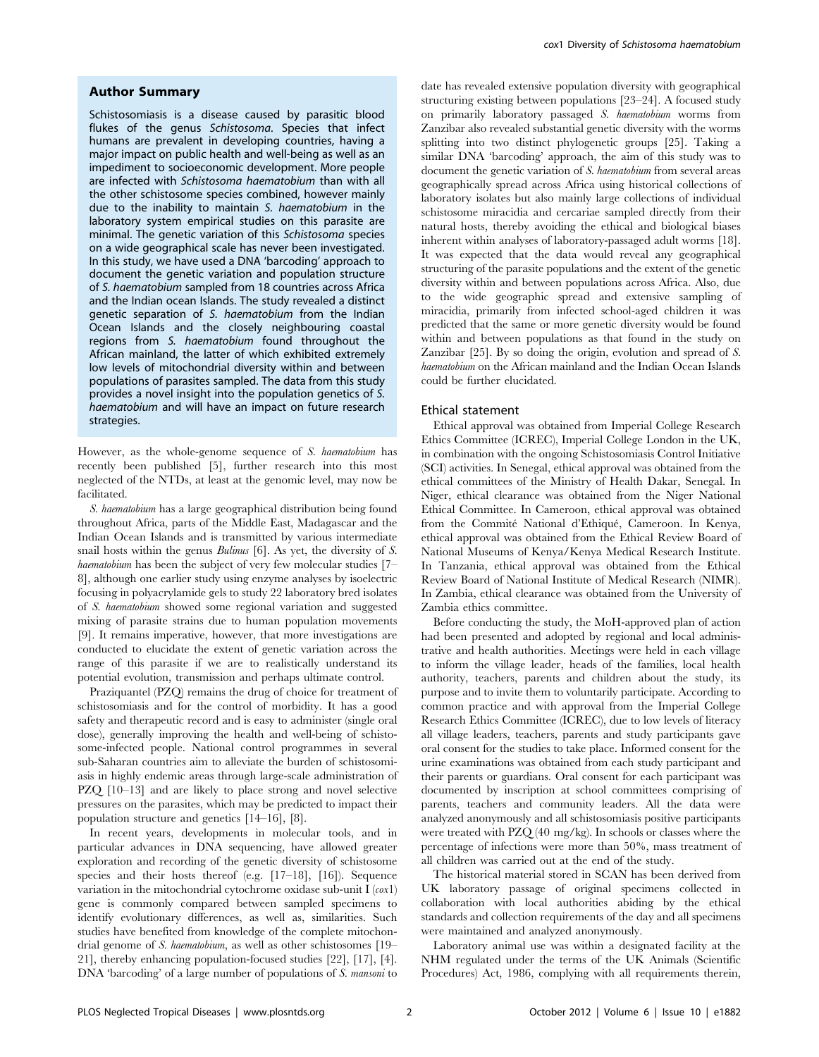## Author Summary

Schistosomiasis is a disease caused by parasitic blood flukes of the genus Schistosoma. Species that infect humans are prevalent in developing countries, having a major impact on public health and well-being as well as an impediment to socioeconomic development. More people are infected with Schistosoma haematobium than with all the other schistosome species combined, however mainly due to the inability to maintain S. haematobium in the laboratory system empirical studies on this parasite are minimal. The genetic variation of this Schistosoma species on a wide geographical scale has never been investigated. In this study, we have used a DNA 'barcoding' approach to document the genetic variation and population structure of S. haematobium sampled from 18 countries across Africa and the Indian ocean Islands. The study revealed a distinct genetic separation of S. haematobium from the Indian Ocean Islands and the closely neighbouring coastal regions from S. haematobium found throughout the African mainland, the latter of which exhibited extremely low levels of mitochondrial diversity within and between populations of parasites sampled. The data from this study provides a novel insight into the population genetics of S. haematobium and will have an impact on future research strategies.

However, as the whole-genome sequence of S. haematobium has recently been published [5], further research into this most neglected of the NTDs, at least at the genomic level, may now be facilitated.

S. haematobium has a large geographical distribution being found throughout Africa, parts of the Middle East, Madagascar and the Indian Ocean Islands and is transmitted by various intermediate snail hosts within the genus Bulinus [6]. As yet, the diversity of S. haematobium has been the subject of very few molecular studies [7– 8], although one earlier study using enzyme analyses by isoelectric focusing in polyacrylamide gels to study 22 laboratory bred isolates of S. haematobium showed some regional variation and suggested mixing of parasite strains due to human population movements [9]. It remains imperative, however, that more investigations are conducted to elucidate the extent of genetic variation across the range of this parasite if we are to realistically understand its potential evolution, transmission and perhaps ultimate control.

Praziquantel (PZQ) remains the drug of choice for treatment of schistosomiasis and for the control of morbidity. It has a good safety and therapeutic record and is easy to administer (single oral dose), generally improving the health and well-being of schistosome-infected people. National control programmes in several sub-Saharan countries aim to alleviate the burden of schistosomiasis in highly endemic areas through large-scale administration of PZQ [10–13] and are likely to place strong and novel selective pressures on the parasites, which may be predicted to impact their population structure and genetics [14–16], [8].

In recent years, developments in molecular tools, and in particular advances in DNA sequencing, have allowed greater exploration and recording of the genetic diversity of schistosome species and their hosts thereof (e.g. [17–18], [16]). Sequence variation in the mitochondrial cytochrome oxidase sub-unit I (cox1) gene is commonly compared between sampled specimens to identify evolutionary differences, as well as, similarities. Such studies have benefited from knowledge of the complete mitochondrial genome of S. haematobium, as well as other schistosomes [19– 21], thereby enhancing population-focused studies [22], [17], [4]. DNA 'barcoding' of a large number of populations of S. mansoni to date has revealed extensive population diversity with geographical structuring existing between populations [23–24]. A focused study on primarily laboratory passaged S. haematobium worms from Zanzibar also revealed substantial genetic diversity with the worms splitting into two distinct phylogenetic groups [25]. Taking a similar DNA 'barcoding' approach, the aim of this study was to document the genetic variation of S. haematobium from several areas geographically spread across Africa using historical collections of laboratory isolates but also mainly large collections of individual schistosome miracidia and cercariae sampled directly from their natural hosts, thereby avoiding the ethical and biological biases inherent within analyses of laboratory-passaged adult worms [18]. It was expected that the data would reveal any geographical structuring of the parasite populations and the extent of the genetic diversity within and between populations across Africa. Also, due to the wide geographic spread and extensive sampling of miracidia, primarily from infected school-aged children it was predicted that the same or more genetic diversity would be found within and between populations as that found in the study on Zanzibar [25]. By so doing the origin, evolution and spread of S. haematobium on the African mainland and the Indian Ocean Islands could be further elucidated.

## Ethical statement

Ethical approval was obtained from Imperial College Research Ethics Committee (ICREC), Imperial College London in the UK, in combination with the ongoing Schistosomiasis Control Initiative (SCI) activities. In Senegal, ethical approval was obtained from the ethical committees of the Ministry of Health Dakar, Senegal. In Niger, ethical clearance was obtained from the Niger National Ethical Committee. In Cameroon, ethical approval was obtained from the Commité National d'Ethiqué, Cameroon. In Kenya, ethical approval was obtained from the Ethical Review Board of National Museums of Kenya/Kenya Medical Research Institute. In Tanzania, ethical approval was obtained from the Ethical Review Board of National Institute of Medical Research (NIMR). In Zambia, ethical clearance was obtained from the University of Zambia ethics committee.

Before conducting the study, the MoH-approved plan of action had been presented and adopted by regional and local administrative and health authorities. Meetings were held in each village to inform the village leader, heads of the families, local health authority, teachers, parents and children about the study, its purpose and to invite them to voluntarily participate. According to common practice and with approval from the Imperial College Research Ethics Committee (ICREC), due to low levels of literacy all village leaders, teachers, parents and study participants gave oral consent for the studies to take place. Informed consent for the urine examinations was obtained from each study participant and their parents or guardians. Oral consent for each participant was documented by inscription at school committees comprising of parents, teachers and community leaders. All the data were analyzed anonymously and all schistosomiasis positive participants were treated with PZQ (40 mg/kg). In schools or classes where the percentage of infections were more than 50%, mass treatment of all children was carried out at the end of the study.

The historical material stored in SCAN has been derived from UK laboratory passage of original specimens collected in collaboration with local authorities abiding by the ethical standards and collection requirements of the day and all specimens were maintained and analyzed anonymously.

Laboratory animal use was within a designated facility at the NHM regulated under the terms of the UK Animals (Scientific Procedures) Act, 1986, complying with all requirements therein,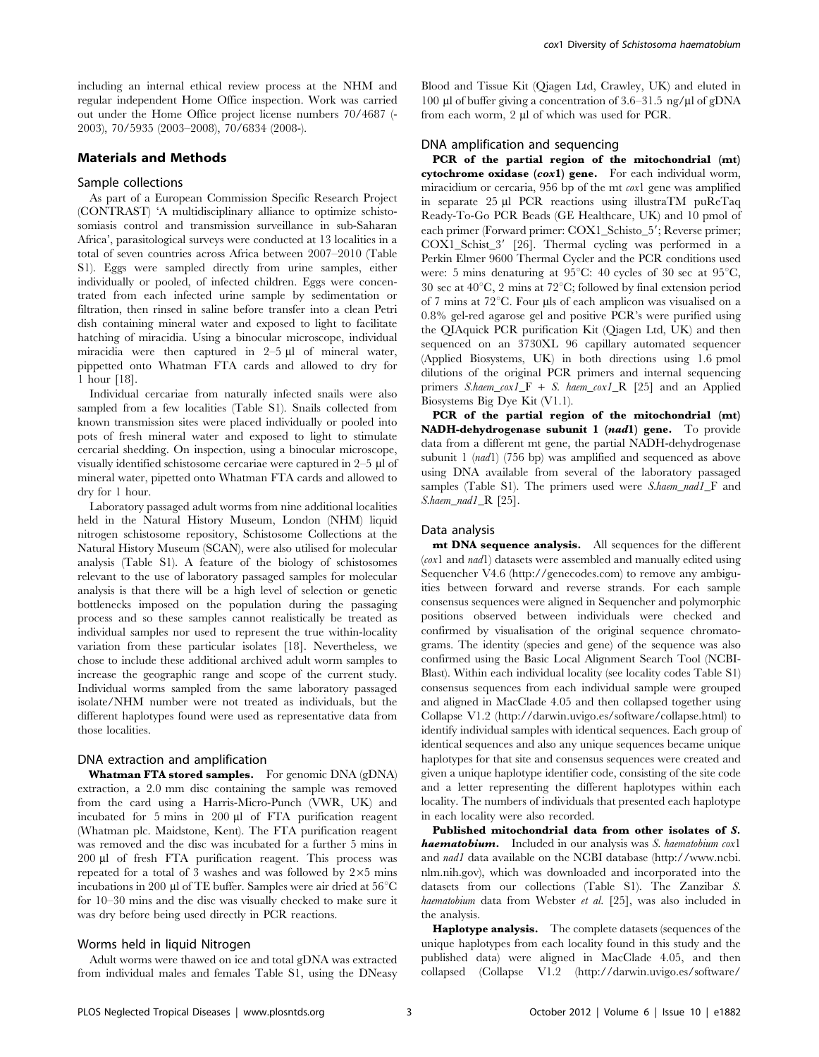including an internal ethical review process at the NHM and regular independent Home Office inspection. Work was carried out under the Home Office project license numbers 70/4687 (- 2003), 70/5935 (2003–2008), 70/6834 (2008-).

## Materials and Methods

## Sample collections

As part of a European Commission Specific Research Project (CONTRAST) 'A multidisciplinary alliance to optimize schistosomiasis control and transmission surveillance in sub-Saharan Africa', parasitological surveys were conducted at 13 localities in a total of seven countries across Africa between 2007–2010 (Table S1). Eggs were sampled directly from urine samples, either individually or pooled, of infected children. Eggs were concentrated from each infected urine sample by sedimentation or filtration, then rinsed in saline before transfer into a clean Petri dish containing mineral water and exposed to light to facilitate hatching of miracidia. Using a binocular microscope, individual miracidia were then captured in  $2-5 \mu$  of mineral water, pippetted onto Whatman FTA cards and allowed to dry for 1 hour [18].

Individual cercariae from naturally infected snails were also sampled from a few localities (Table S1). Snails collected from known transmission sites were placed individually or pooled into pots of fresh mineral water and exposed to light to stimulate cercarial shedding. On inspection, using a binocular microscope, visually identified schistosome cercariae were captured in  $2-5$  µl of mineral water, pipetted onto Whatman FTA cards and allowed to dry for 1 hour.

Laboratory passaged adult worms from nine additional localities held in the Natural History Museum, London (NHM) liquid nitrogen schistosome repository, Schistosome Collections at the Natural History Museum (SCAN), were also utilised for molecular analysis (Table S1). A feature of the biology of schistosomes relevant to the use of laboratory passaged samples for molecular analysis is that there will be a high level of selection or genetic bottlenecks imposed on the population during the passaging process and so these samples cannot realistically be treated as individual samples nor used to represent the true within-locality variation from these particular isolates [18]. Nevertheless, we chose to include these additional archived adult worm samples to increase the geographic range and scope of the current study. Individual worms sampled from the same laboratory passaged isolate/NHM number were not treated as individuals, but the different haplotypes found were used as representative data from those localities.

## DNA extraction and amplification

Whatman FTA stored samples. For genomic DNA (gDNA) extraction, a 2.0 mm disc containing the sample was removed from the card using a Harris-Micro-Punch (VWR, UK) and incubated for  $5$  mins in  $200 \mu l$  of FTA purification reagent (Whatman plc. Maidstone, Kent). The FTA purification reagent was removed and the disc was incubated for a further 5 mins in 200 µl of fresh FTA purification reagent. This process was repeated for a total of 3 washes and was followed by  $2\times5$  mins incubations in 200 µl of TE buffer. Samples were air dried at  $56^{\circ}$ C for 10–30 mins and the disc was visually checked to make sure it was dry before being used directly in PCR reactions.

#### Worms held in liquid Nitrogen

Adult worms were thawed on ice and total gDNA was extracted from individual males and females Table S1, using the DNeasy

Blood and Tissue Kit (Qiagen Ltd, Crawley, UK) and eluted in 100  $\mu$ l of buffer giving a concentration of 3.6–31.5 ng/ $\mu$ l of gDNA from each worm,  $2 \mu$  of which was used for PCR.

#### DNA amplification and sequencing

PCR of the partial region of the mitochondrial (mt) cytochrome oxidase (cox1) gene. For each individual worm, miracidium or cercaria, 956 bp of the mt cox1 gene was amplified in separate 25 µl PCR reactions using illustraTM puReTaq Ready-To-Go PCR Beads (GE Healthcare, UK) and 10 pmol of each primer (Forward primer: COX1\_Schisto\_5'; Reverse primer;  $COX1$ <sub>-Schist</sub>  $3'$  [26]. Thermal cycling was performed in a Perkin Elmer 9600 Thermal Cycler and the PCR conditions used were: 5 mins denaturing at  $95^{\circ}$ C: 40 cycles of 30 sec at  $95^{\circ}$ C, 30 sec at  $40^{\circ}$ C, 2 mins at 72 $^{\circ}$ C; followed by final extension period of 7 mins at 72°C. Four µls of each amplicon was visualised on a 0.8% gel-red agarose gel and positive PCR's were purified using the QIAquick PCR purification Kit (Qiagen Ltd, UK) and then sequenced on an 3730XL 96 capillary automated sequencer (Applied Biosystems, UK) in both directions using 1.6 pmol dilutions of the original PCR primers and internal sequencing primers  $S \cdot \text{haem}\_\text{cox1\_F} + S \cdot \text{haem}\_\text{cox1\_R}$  [25] and an Applied Biosystems Big Dye Kit (V1.1).

PCR of the partial region of the mitochondrial (mt) NADH-dehydrogenase subunit 1 (nad1) gene. To provide data from a different mt gene, the partial NADH-dehydrogenase subunit 1 (*nad*1) (756 bp) was amplified and sequenced as above using DNA available from several of the laboratory passaged samples (Table S1). The primers used were S.haem\_nad1\_F and S.haem\_nad1\_R  $[25]$ .

## Data analysis

mt DNA sequence analysis. All sequences for the different (cox1 and nad1) datasets were assembled and manually edited using Sequencher V4.6 (http://genecodes.com) to remove any ambiguities between forward and reverse strands. For each sample consensus sequences were aligned in Sequencher and polymorphic positions observed between individuals were checked and confirmed by visualisation of the original sequence chromatograms. The identity (species and gene) of the sequence was also confirmed using the Basic Local Alignment Search Tool (NCBI-Blast). Within each individual locality (see locality codes Table S1) consensus sequences from each individual sample were grouped and aligned in MacClade 4.05 and then collapsed together using Collapse V1.2 (http://darwin.uvigo.es/software/collapse.html) to identify individual samples with identical sequences. Each group of identical sequences and also any unique sequences became unique haplotypes for that site and consensus sequences were created and given a unique haplotype identifier code, consisting of the site code and a letter representing the different haplotypes within each locality. The numbers of individuals that presented each haplotype in each locality were also recorded.

Published mitochondrial data from other isolates of S. **haematobium.** Included in our analysis was *S. haematobium cox*1 and nad1 data available on the NCBI database (http://www.ncbi. nlm.nih.gov), which was downloaded and incorporated into the datasets from our collections (Table S1). The Zanzibar S. haematobium data from Webster et al. [25], was also included in the analysis.

Haplotype analysis. The complete datasets (sequences of the unique haplotypes from each locality found in this study and the published data) were aligned in MacClade 4.05, and then collapsed (Collapse V1.2 (http://darwin.uvigo.es/software/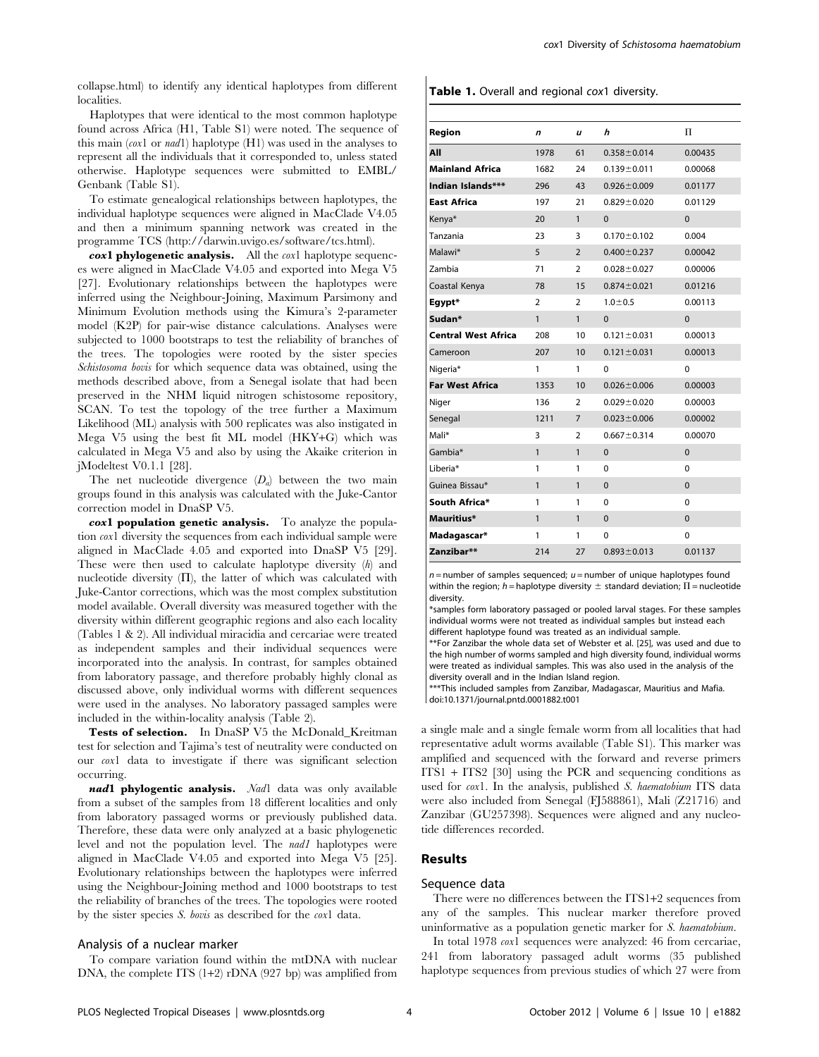collapse.html) to identify any identical haplotypes from different localities.

Haplotypes that were identical to the most common haplotype found across Africa (H1, Table S1) were noted. The sequence of this main  $(cox1 \text{ or } nad1)$  haplotype  $(H1)$  was used in the analyses to represent all the individuals that it corresponded to, unless stated otherwise. Haplotype sequences were submitted to EMBL/ Genbank (Table S1).

To estimate genealogical relationships between haplotypes, the individual haplotype sequences were aligned in MacClade V4.05 and then a minimum spanning network was created in the programme TCS (http://darwin.uvigo.es/software/tcs.html).

 $\cos 1$  phylogenetic analysis. All the  $\cos 1$  haplotype sequences were aligned in MacClade V4.05 and exported into Mega V5 [27]. Evolutionary relationships between the haplotypes were inferred using the Neighbour-Joining, Maximum Parsimony and Minimum Evolution methods using the Kimura's 2-parameter model (K2P) for pair-wise distance calculations. Analyses were subjected to 1000 bootstraps to test the reliability of branches of the trees. The topologies were rooted by the sister species Schistosoma bovis for which sequence data was obtained, using the methods described above, from a Senegal isolate that had been preserved in the NHM liquid nitrogen schistosome repository, SCAN. To test the topology of the tree further a Maximum Likelihood (ML) analysis with 500 replicates was also instigated in Mega V5 using the best fit ML model (HKY+G) which was calculated in Mega V5 and also by using the Akaike criterion in jModeltest V0.1.1 [28].

The net nucleotide divergence  $(D_a)$  between the two main groups found in this analysis was calculated with the Juke-Cantor correction model in DnaSP V5.

cox1 population genetic analysis. To analyze the population cox1 diversity the sequences from each individual sample were aligned in MacClade 4.05 and exported into DnaSP V5 [29]. These were then used to calculate haplotype diversity (h) and nucleotide diversity  $(\Pi)$ , the latter of which was calculated with Juke-Cantor corrections, which was the most complex substitution model available. Overall diversity was measured together with the diversity within different geographic regions and also each locality (Tables 1 & 2). All individual miracidia and cercariae were treated as independent samples and their individual sequences were incorporated into the analysis. In contrast, for samples obtained from laboratory passage, and therefore probably highly clonal as discussed above, only individual worms with different sequences were used in the analyses. No laboratory passaged samples were included in the within-locality analysis (Table 2).

Tests of selection. In DnaSP V5 the McDonald\_Kreitman test for selection and Tajima's test of neutrality were conducted on our cox1 data to investigate if there was significant selection occurring.

nad1 phylogentic analysis. Nad1 data was only available from a subset of the samples from 18 different localities and only from laboratory passaged worms or previously published data. Therefore, these data were only analyzed at a basic phylogenetic level and not the population level. The nad1 haplotypes were aligned in MacClade V4.05 and exported into Mega V5 [25]. Evolutionary relationships between the haplotypes were inferred using the Neighbour-Joining method and 1000 bootstraps to test the reliability of branches of the trees. The topologies were rooted by the sister species S. bovis as described for the cox1 data.

## Analysis of a nuclear marker

To compare variation found within the mtDNA with nuclear DNA, the complete ITS (1+2) rDNA (927 bp) was amplified from

|  | Table 1. Overall and regional cox1 diversity. |  |  |  |  |
|--|-----------------------------------------------|--|--|--|--|
|--|-----------------------------------------------|--|--|--|--|

| Region                     | n              | u              | h                 | Π           |
|----------------------------|----------------|----------------|-------------------|-------------|
| All                        | 1978           | 61             | $0.358 \pm 0.014$ | 0.00435     |
| <b>Mainland Africa</b>     | 1682           | 24             | $0.139 + 0.011$   | 0.00068     |
| Indian Islands***          | 296            | 43             | $0.926 \pm 0.009$ | 0.01177     |
| <b>East Africa</b>         | 197            | 21             | $0.829 \pm 0.020$ | 0.01129     |
| Kenya*                     | 20             | $\mathbf{1}$   | $\Omega$          | $\Omega$    |
| Tanzania                   | 23             | 3              | $0.170 \pm 0.102$ | 0.004       |
| Malawi*                    | 5              | $\overline{2}$ | $0.400 \pm 0.237$ | 0.00042     |
| Zambia                     | 71             | $\overline{2}$ | $0.028 \pm 0.027$ | 0.00006     |
| Coastal Kenya              | 78             | 15             | $0.874 \pm 0.021$ | 0.01216     |
| Egypt*                     | $\overline{2}$ | $\overline{2}$ | $1.0 \pm 0.5$     | 0.00113     |
| Sudan*                     | 1              | $\mathbf{1}$   | $\Omega$          | $\Omega$    |
| <b>Central West Africa</b> | 208            | 10             | $0.121 \pm 0.031$ | 0.00013     |
| Cameroon                   | 207            | 10             | $0.121 \pm 0.031$ | 0.00013     |
| Nigeria*                   | 1              | 1              | 0                 | 0           |
| <b>Far West Africa</b>     | 1353           | 10             | $0.026 \pm 0.006$ | 0.00003     |
| Niger                      | 136            | $\overline{2}$ | $0.029 \pm 0.020$ | 0.00003     |
| Senegal                    | 1211           | 7              | $0.023 \pm 0.006$ | 0.00002     |
| Mali*                      | 3              | $\overline{2}$ | $0.667 \pm 0.314$ | 0.00070     |
| Gambia*                    | $\mathbf{1}$   | $\mathbf{1}$   | $\mathbf 0$       | $\Omega$    |
| Liberia*                   | 1              | 1              | 0                 | $\Omega$    |
| Guinea Bissau*             | $\mathbf{1}$   | $\mathbf{1}$   | $\mathbf 0$       | $\mathbf 0$ |
| South Africa*              | 1              | 1              | 0                 | $\Omega$    |
| Mauritius*                 | $\mathbf{1}$   | $\mathbf{1}$   | $\Omega$          | $\Omega$    |
| Madagascar*                | 1              | 1              | 0                 | $\Omega$    |
| Zanzibar**                 | 214            | 27             | $0.893 \pm 0.013$ | 0.01137     |

 $n =$  number of samples sequenced:  $u =$  number of unique haplotypes found within the region; h = haplotype diversity  $\pm$  standard deviation;  $\Pi$  = nucleotide diversity.

\*samples form laboratory passaged or pooled larval stages. For these samples individual worms were not treated as individual samples but instead each different haplotype found was treated as an individual sample.

\*\*For Zanzibar the whole data set of Webster et al. [25], was used and due to the high number of worms sampled and high diversity found, individual worms were treated as individual samples. This was also used in the analysis of the diversity overall and in the Indian Island region.

\*\*\*This included samples from Zanzibar, Madagascar, Mauritius and Mafia. doi:10.1371/journal.pntd.0001882.t001

a single male and a single female worm from all localities that had representative adult worms available (Table S1). This marker was amplified and sequenced with the forward and reverse primers ITS1 + ITS2 [30] using the PCR and sequencing conditions as used for cox1. In the analysis, published S. haematobium ITS data were also included from Senegal (FJ588861), Mali (Z21716) and Zanzibar (GU257398). Sequences were aligned and any nucleotide differences recorded.

# Results

#### Sequence data

There were no differences between the ITS1+2 sequences from any of the samples. This nuclear marker therefore proved uninformative as a population genetic marker for S. haematobium.

In total 1978 cox1 sequences were analyzed: 46 from cercariae, 241 from laboratory passaged adult worms (35 published haplotype sequences from previous studies of which 27 were from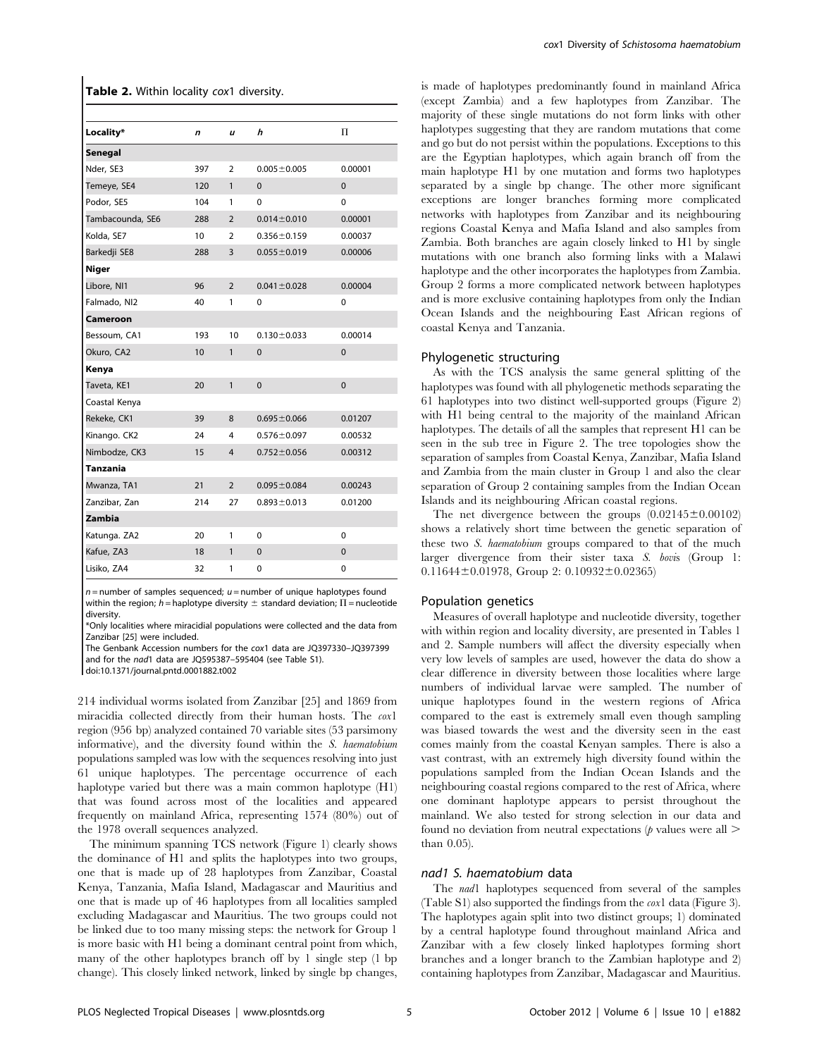|  |  |  |  |  |  | Table 2. Within locality cox1 diversity. |
|--|--|--|--|--|--|------------------------------------------|
|--|--|--|--|--|--|------------------------------------------|

| Locality*        | n                | u              | h                 | Π            |
|------------------|------------------|----------------|-------------------|--------------|
| Senegal          |                  |                |                   |              |
| Nder, SE3        | 397              | 2              | $0.005 \pm 0.005$ | 0.00001      |
| Temeye, SE4      | 120              | $\mathbf{1}$   | $\mathbf{0}$      | $\mathbf{0}$ |
| Podor, SE5       | 104              | 1              | 0                 | 0            |
| Tambacounda, SE6 | 288              | $\overline{2}$ | $0.014 \pm 0.010$ | 0.00001      |
| Kolda, SE7       | 10 <sup>10</sup> | $\overline{2}$ | $0.356 \pm 0.159$ | 0.00037      |
| Barkedji SE8     | 288              | 3              | $0.055 \pm 0.019$ | 0.00006      |
| Niger            |                  |                |                   |              |
| Libore, NI1      | 96               | $\overline{2}$ | $0.041 \pm 0.028$ | 0.00004      |
| Falmado, NI2     | 40               | 1              | 0                 | 0            |
| Cameroon         |                  |                |                   |              |
| Bessoum, CA1     | 193              | 10             | $0.130 \pm 0.033$ | 0.00014      |
| Okuro, CA2       | 10               | $\mathbf{1}$   | $\Omega$          | $\Omega$     |
| Kenya            |                  |                |                   |              |
| Taveta, KE1      | 20               | $\mathbf{1}$   | $\mathbf{0}$      | $\mathbf{0}$ |
| Coastal Kenya    |                  |                |                   |              |
| Rekeke, CK1      | 39               | 8              | $0.695 \pm 0.066$ | 0.01207      |
| Kinango. CK2     | 24               | 4              | $0.576 \pm 0.097$ | 0.00532      |
| Nimbodze, CK3    | 15               | 4              | $0.752 \pm 0.056$ | 0.00312      |
| Tanzania         |                  |                |                   |              |
| Mwanza, TA1      | 21               | $\overline{2}$ | $0.095 \pm 0.084$ | 0.00243      |
| Zanzibar, Zan    | 214              | 27             | $0.893 \pm 0.013$ | 0.01200      |
| Zambia           |                  |                |                   |              |
| Katunga. ZA2     | 20               | 1              | 0                 | 0            |
| Kafue, ZA3       | 18               | 1              | $\mathbf 0$       | $\mathbf{0}$ |
| Lisiko, ZA4      | 32               | 1              | 0                 | 0            |

 $n =$  number of samples sequenced;  $u =$  number of unique haplotypes found within the region; h = haplotype diversity  $\pm$  standard deviation;  $\Pi$  = nucleotide diversity.

\*Only localities where miracidial populations were collected and the data from Zanzibar [25] were included.

The Genbank Accession numbers for the cox1 data are JQ397330–JQ397399 and for the nad1 data are JQ595387-595404 (see Table S1).

doi:10.1371/journal.pntd.0001882.t002

214 individual worms isolated from Zanzibar [25] and 1869 from miracidia collected directly from their human hosts. The cox1 region (956 bp) analyzed contained 70 variable sites (53 parsimony informative), and the diversity found within the S. haematobium populations sampled was low with the sequences resolving into just 61 unique haplotypes. The percentage occurrence of each haplotype varied but there was a main common haplotype (H1) that was found across most of the localities and appeared frequently on mainland Africa, representing 1574 (80%) out of the 1978 overall sequences analyzed.

The minimum spanning TCS network (Figure 1) clearly shows the dominance of H1 and splits the haplotypes into two groups, one that is made up of 28 haplotypes from Zanzibar, Coastal Kenya, Tanzania, Mafia Island, Madagascar and Mauritius and one that is made up of 46 haplotypes from all localities sampled excluding Madagascar and Mauritius. The two groups could not be linked due to too many missing steps: the network for Group 1 is more basic with H1 being a dominant central point from which, many of the other haplotypes branch off by 1 single step (1 bp change). This closely linked network, linked by single bp changes,

is made of haplotypes predominantly found in mainland Africa (except Zambia) and a few haplotypes from Zanzibar. The majority of these single mutations do not form links with other haplotypes suggesting that they are random mutations that come and go but do not persist within the populations. Exceptions to this are the Egyptian haplotypes, which again branch off from the main haplotype H1 by one mutation and forms two haplotypes separated by a single bp change. The other more significant exceptions are longer branches forming more complicated networks with haplotypes from Zanzibar and its neighbouring regions Coastal Kenya and Mafia Island and also samples from Zambia. Both branches are again closely linked to H1 by single mutations with one branch also forming links with a Malawi haplotype and the other incorporates the haplotypes from Zambia. Group 2 forms a more complicated network between haplotypes and is more exclusive containing haplotypes from only the Indian Ocean Islands and the neighbouring East African regions of coastal Kenya and Tanzania.

# Phylogenetic structuring

As with the TCS analysis the same general splitting of the haplotypes was found with all phylogenetic methods separating the 61 haplotypes into two distinct well-supported groups (Figure 2) with H1 being central to the majority of the mainland African haplotypes. The details of all the samples that represent H1 can be seen in the sub tree in Figure 2. The tree topologies show the separation of samples from Coastal Kenya, Zanzibar, Mafia Island and Zambia from the main cluster in Group 1 and also the clear separation of Group 2 containing samples from the Indian Ocean Islands and its neighbouring African coastal regions.

The net divergence between the groups  $(0.02145 \pm 0.00102)$ shows a relatively short time between the genetic separation of these two S. haematobium groups compared to that of the much larger divergence from their sister taxa S. bovis (Group 1:  $0.11644 \pm 0.01978$ , Group 2:  $0.10932 \pm 0.02365$ 

## Population genetics

Measures of overall haplotype and nucleotide diversity, together with within region and locality diversity, are presented in Tables 1 and 2. Sample numbers will affect the diversity especially when very low levels of samples are used, however the data do show a clear difference in diversity between those localities where large numbers of individual larvae were sampled. The number of unique haplotypes found in the western regions of Africa compared to the east is extremely small even though sampling was biased towards the west and the diversity seen in the east comes mainly from the coastal Kenyan samples. There is also a vast contrast, with an extremely high diversity found within the populations sampled from the Indian Ocean Islands and the neighbouring coastal regions compared to the rest of Africa, where one dominant haplotype appears to persist throughout the mainland. We also tested for strong selection in our data and found no deviation from neutral expectations  $(p \text{ values were all} >$ than 0.05).

# nad1 S. haematobium data

The *nad*1 haplotypes sequenced from several of the samples (Table S1) also supported the findings from the cox1 data (Figure 3). The haplotypes again split into two distinct groups; 1) dominated by a central haplotype found throughout mainland Africa and Zanzibar with a few closely linked haplotypes forming short branches and a longer branch to the Zambian haplotype and 2) containing haplotypes from Zanzibar, Madagascar and Mauritius.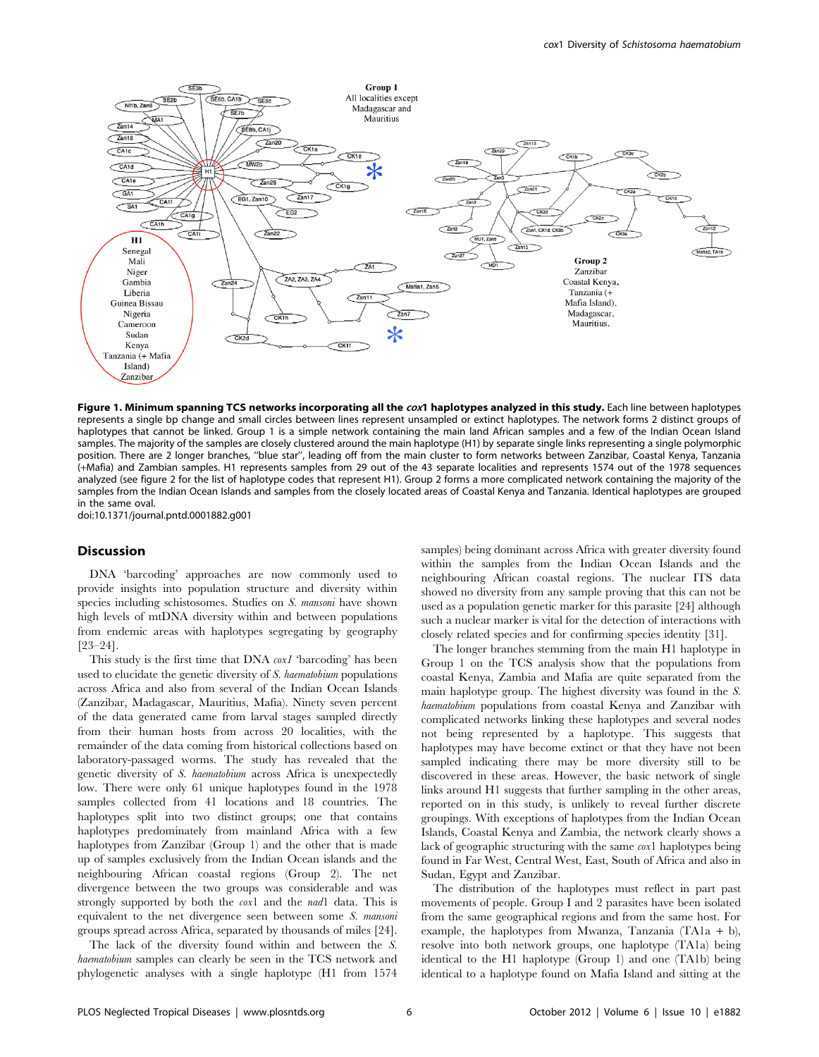

Figure 1. Minimum spanning TCS networks incorporating all the cox1 haplotypes analyzed in this study. Each line between haplotypes represents a single bp change and small circles between lines represent unsampled or extinct haplotypes. The network forms 2 distinct groups of haplotypes that cannot be linked. Group 1 is a simple network containing the main land African samples and a few of the Indian Ocean Island samples. The majority of the samples are closely clustered around the main haplotype (H1) by separate single links representing a single polymorphic position. There are 2 longer branches, ''blue star'', leading off from the main cluster to form networks between Zanzibar, Coastal Kenya, Tanzania (+Mafia) and Zambian samples. H1 represents samples from 29 out of the 43 separate localities and represents 1574 out of the 1978 sequences analyzed (see figure 2 for the list of haplotype codes that represent H1). Group 2 forms a more complicated network containing the majority of the samples from the Indian Ocean Islands and samples from the closely located areas of Coastal Kenya and Tanzania. Identical haplotypes are grouped in the same oval.

doi:10.1371/journal.pntd.0001882.g001

## Discussion

DNA 'barcoding' approaches are now commonly used to provide insights into population structure and diversity within species including schistosomes. Studies on S. mansoni have shown high levels of mtDNA diversity within and between populations from endemic areas with haplotypes segregating by geography [23–24].

This study is the first time that DNA *cox1* 'barcoding' has been used to elucidate the genetic diversity of S. haematobium populations across Africa and also from several of the Indian Ocean Islands (Zanzibar, Madagascar, Mauritius, Mafia). Ninety seven percent of the data generated came from larval stages sampled directly from their human hosts from across 20 localities, with the remainder of the data coming from historical collections based on laboratory-passaged worms. The study has revealed that the genetic diversity of S. haematobium across Africa is unexpectedly low. There were only 61 unique haplotypes found in the 1978 samples collected from 41 locations and 18 countries. The haplotypes split into two distinct groups; one that contains haplotypes predominately from mainland Africa with a few haplotypes from Zanzibar (Group 1) and the other that is made up of samples exclusively from the Indian Ocean islands and the neighbouring African coastal regions (Group 2). The net divergence between the two groups was considerable and was strongly supported by both the *cox*1 and the *nad*1 data. This is equivalent to the net divergence seen between some S. mansoni groups spread across Africa, separated by thousands of miles [24].

The lack of the diversity found within and between the S. haematobium samples can clearly be seen in the TCS network and phylogenetic analyses with a single haplotype (H1 from 1574

samples) being dominant across Africa with greater diversity found within the samples from the Indian Ocean Islands and the neighbouring African coastal regions. The nuclear ITS data showed no diversity from any sample proving that this can not be used as a population genetic marker for this parasite [24] although such a nuclear marker is vital for the detection of interactions with closely related species and for confirming species identity [31].

The longer branches stemming from the main H1 haplotype in Group 1 on the TCS analysis show that the populations from coastal Kenya, Zambia and Mafia are quite separated from the main haplotype group. The highest diversity was found in the S. haematobium populations from coastal Kenya and Zanzibar with complicated networks linking these haplotypes and several nodes not being represented by a haplotype. This suggests that haplotypes may have become extinct or that they have not been sampled indicating there may be more diversity still to be discovered in these areas. However, the basic network of single links around H1 suggests that further sampling in the other areas, reported on in this study, is unlikely to reveal further discrete groupings. With exceptions of haplotypes from the Indian Ocean Islands, Coastal Kenya and Zambia, the network clearly shows a lack of geographic structuring with the same cox1 haplotypes being found in Far West, Central West, East, South of Africa and also in Sudan, Egypt and Zanzibar.

The distribution of the haplotypes must reflect in part past movements of people. Group I and 2 parasites have been isolated from the same geographical regions and from the same host. For example, the haplotypes from Mwanza, Tanzania (TA1a + b), resolve into both network groups, one haplotype (TA1a) being identical to the H1 haplotype (Group 1) and one (TA1b) being identical to a haplotype found on Mafia Island and sitting at the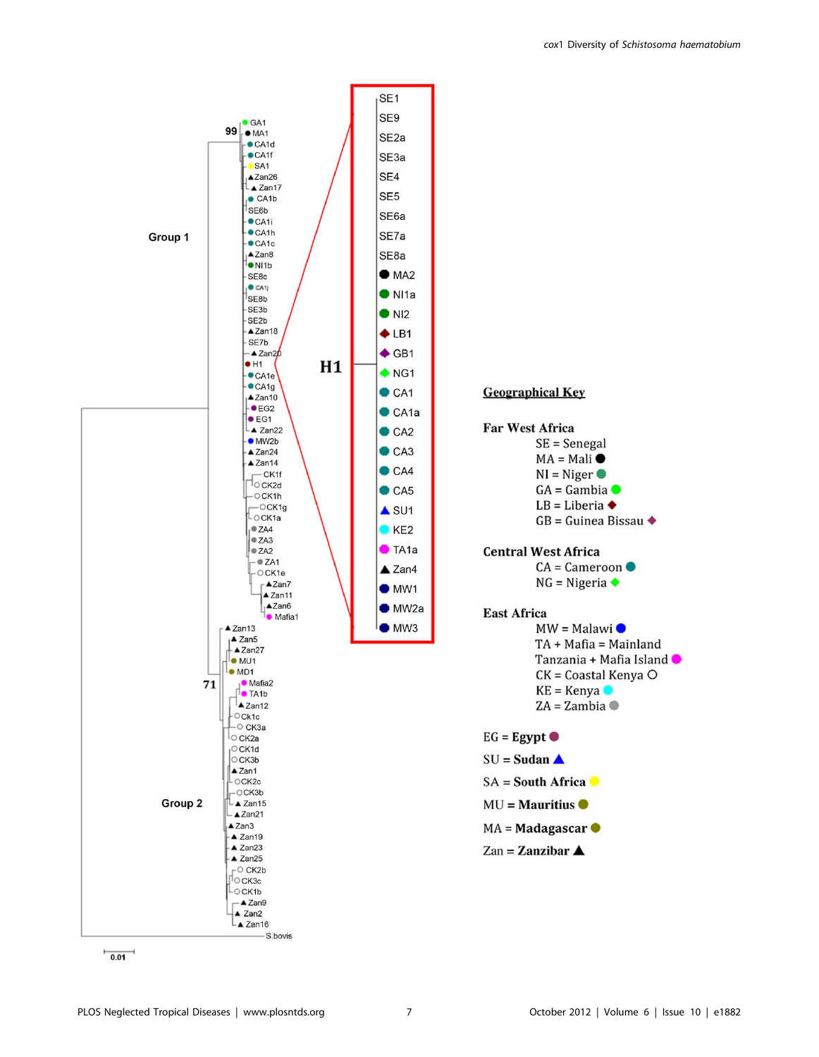

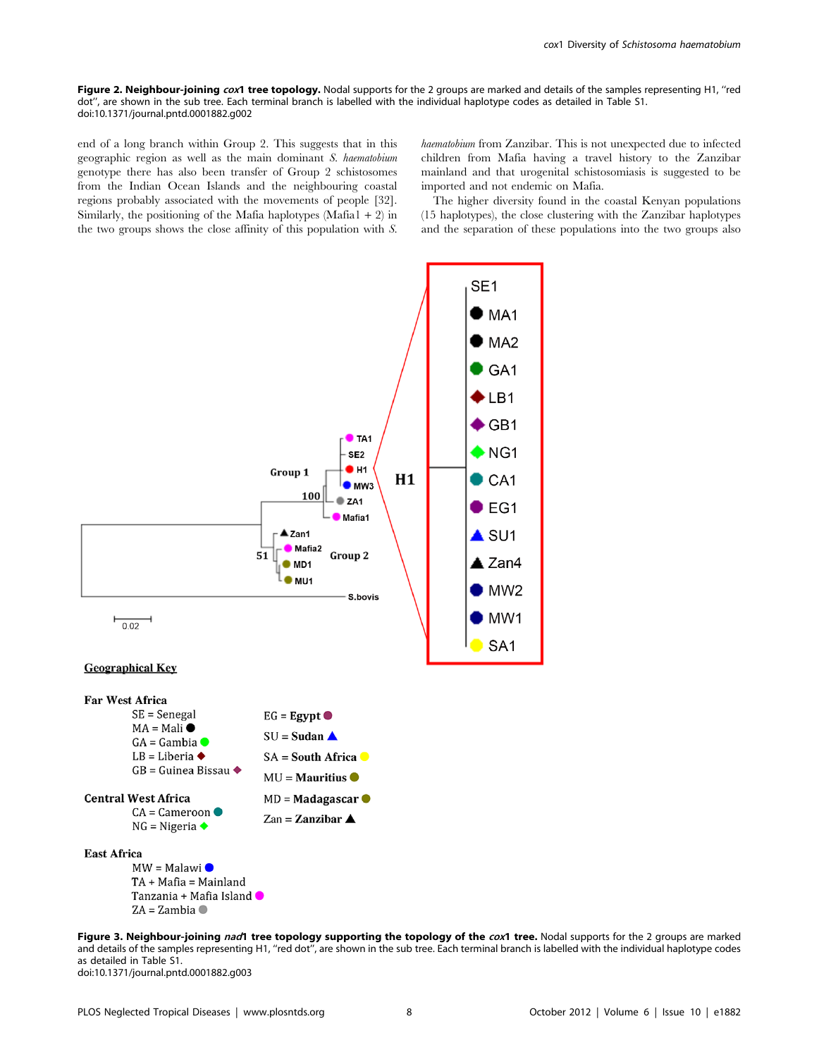Figure 2. Neighbour-joining cox1 tree topology. Nodal supports for the 2 groups are marked and details of the samples representing H1, "red dot'', are shown in the sub tree. Each terminal branch is labelled with the individual haplotype codes as detailed in Table S1. doi:10.1371/journal.pntd.0001882.g002

end of a long branch within Group 2. This suggests that in this geographic region as well as the main dominant S. haematobium genotype there has also been transfer of Group 2 schistosomes from the Indian Ocean Islands and the neighbouring coastal regions probably associated with the movements of people [32]. Similarly, the positioning of the Mafia haplotypes (Mafia  $1 + 2$ ) in the two groups shows the close affinity of this population with S. haematobium from Zanzibar. This is not unexpected due to infected children from Mafia having a travel history to the Zanzibar mainland and that urogenital schistosomiasis is suggested to be imported and not endemic on Mafia.

The higher diversity found in the coastal Kenyan populations (15 haplotypes), the close clustering with the Zanzibar haplotypes and the separation of these populations into the two groups also



 $SE = Senegal$  $EG = Egypt$  $MA = Mali$   $\bullet$  $SU = Sudan \triangle$  $GA = Gambia$  $LB = Liberia$   $\triangle$  $SA = South Africa$  $GB =$  Guinea Bissau  $\blacklozenge$  $MU =$ Mauritius **Central West Africa**  $MD = Madagascar$  $CA = Cameron$   $\bullet$  $Zan = Zanzibar \triangle$  $NG = Nigeria$ **East Africa**  $MW = Malawi$ TA + Mafia = Mainland Tanzania + Mafia Island <sup>●</sup>  $ZA = Zambia$ 

Figure 3. Neighbour-joining nad1 tree topology supporting the topology of the cox1 tree. Nodal supports for the 2 groups are marked and details of the samples representing H1, ''red dot'', are shown in the sub tree. Each terminal branch is labelled with the individual haplotype codes as detailed in Table S1. doi:10.1371/journal.pntd.0001882.g003

PLOS Neglected Tropical Diseases | www.plosntds.org 8 8 0 0ctober 2012 | Volume 6 | Issue 10 | e1882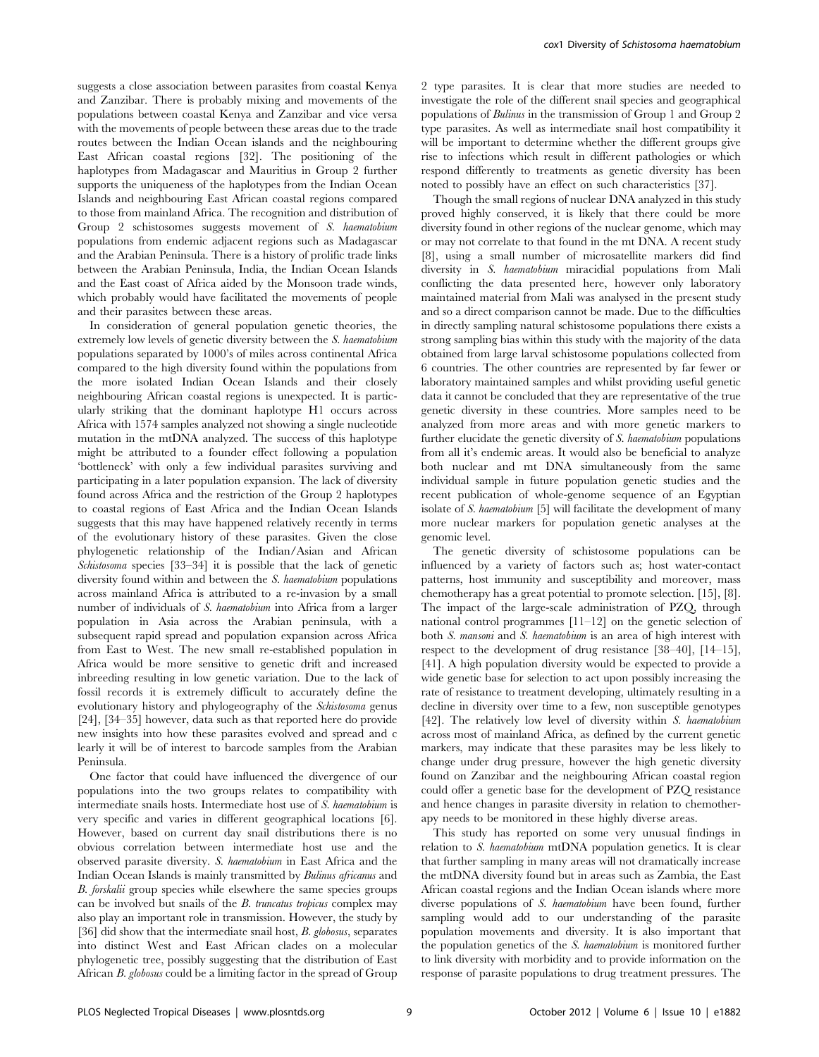suggests a close association between parasites from coastal Kenya and Zanzibar. There is probably mixing and movements of the populations between coastal Kenya and Zanzibar and vice versa with the movements of people between these areas due to the trade routes between the Indian Ocean islands and the neighbouring East African coastal regions [32]. The positioning of the haplotypes from Madagascar and Mauritius in Group 2 further supports the uniqueness of the haplotypes from the Indian Ocean Islands and neighbouring East African coastal regions compared to those from mainland Africa. The recognition and distribution of Group 2 schistosomes suggests movement of S. haematobium populations from endemic adjacent regions such as Madagascar and the Arabian Peninsula. There is a history of prolific trade links between the Arabian Peninsula, India, the Indian Ocean Islands and the East coast of Africa aided by the Monsoon trade winds, which probably would have facilitated the movements of people and their parasites between these areas.

In consideration of general population genetic theories, the extremely low levels of genetic diversity between the S. haematobium populations separated by 1000's of miles across continental Africa compared to the high diversity found within the populations from the more isolated Indian Ocean Islands and their closely neighbouring African coastal regions is unexpected. It is particularly striking that the dominant haplotype H1 occurs across Africa with 1574 samples analyzed not showing a single nucleotide mutation in the mtDNA analyzed. The success of this haplotype might be attributed to a founder effect following a population 'bottleneck' with only a few individual parasites surviving and participating in a later population expansion. The lack of diversity found across Africa and the restriction of the Group 2 haplotypes to coastal regions of East Africa and the Indian Ocean Islands suggests that this may have happened relatively recently in terms of the evolutionary history of these parasites. Given the close phylogenetic relationship of the Indian/Asian and African Schistosoma species [33–34] it is possible that the lack of genetic diversity found within and between the *S. haematobium* populations across mainland Africa is attributed to a re-invasion by a small number of individuals of S. haematobium into Africa from a larger population in Asia across the Arabian peninsula, with a subsequent rapid spread and population expansion across Africa from East to West. The new small re-established population in Africa would be more sensitive to genetic drift and increased inbreeding resulting in low genetic variation. Due to the lack of fossil records it is extremely difficult to accurately define the evolutionary history and phylogeography of the Schistosoma genus [24], [34–35] however, data such as that reported here do provide new insights into how these parasites evolved and spread and c learly it will be of interest to barcode samples from the Arabian Peninsula.

One factor that could have influenced the divergence of our populations into the two groups relates to compatibility with intermediate snails hosts. Intermediate host use of S. haematobium is very specific and varies in different geographical locations [6]. However, based on current day snail distributions there is no obvious correlation between intermediate host use and the observed parasite diversity. S. haematobium in East Africa and the Indian Ocean Islands is mainly transmitted by Bulinus africanus and B. forskalii group species while elsewhere the same species groups can be involved but snails of the B. truncatus tropicus complex may also play an important role in transmission. However, the study by [36] did show that the intermediate snail host,  $B$ . globosus, separates into distinct West and East African clades on a molecular phylogenetic tree, possibly suggesting that the distribution of East African B. globosus could be a limiting factor in the spread of Group 2 type parasites. It is clear that more studies are needed to investigate the role of the different snail species and geographical populations of Bulinus in the transmission of Group 1 and Group 2 type parasites. As well as intermediate snail host compatibility it will be important to determine whether the different groups give rise to infections which result in different pathologies or which respond differently to treatments as genetic diversity has been noted to possibly have an effect on such characteristics [37].

Though the small regions of nuclear DNA analyzed in this study proved highly conserved, it is likely that there could be more diversity found in other regions of the nuclear genome, which may or may not correlate to that found in the mt DNA. A recent study [8], using a small number of microsatellite markers did find diversity in S. haematobium miracidial populations from Mali conflicting the data presented here, however only laboratory maintained material from Mali was analysed in the present study and so a direct comparison cannot be made. Due to the difficulties in directly sampling natural schistosome populations there exists a strong sampling bias within this study with the majority of the data obtained from large larval schistosome populations collected from 6 countries. The other countries are represented by far fewer or laboratory maintained samples and whilst providing useful genetic data it cannot be concluded that they are representative of the true genetic diversity in these countries. More samples need to be analyzed from more areas and with more genetic markers to further elucidate the genetic diversity of S. haematobium populations from all it's endemic areas. It would also be beneficial to analyze both nuclear and mt DNA simultaneously from the same individual sample in future population genetic studies and the recent publication of whole-genome sequence of an Egyptian isolate of S. haematobium [5] will facilitate the development of many more nuclear markers for population genetic analyses at the genomic level.

The genetic diversity of schistosome populations can be influenced by a variety of factors such as; host water-contact patterns, host immunity and susceptibility and moreover, mass chemotherapy has a great potential to promote selection. [15], [8]. The impact of the large-scale administration of PZQ, through national control programmes [11–12] on the genetic selection of both S. mansoni and S. haematobium is an area of high interest with respect to the development of drug resistance [38–40], [14–15], [41]. A high population diversity would be expected to provide a wide genetic base for selection to act upon possibly increasing the rate of resistance to treatment developing, ultimately resulting in a decline in diversity over time to a few, non susceptible genotypes [42]. The relatively low level of diversity within S. haematobium across most of mainland Africa, as defined by the current genetic markers, may indicate that these parasites may be less likely to change under drug pressure, however the high genetic diversity found on Zanzibar and the neighbouring African coastal region could offer a genetic base for the development of PZQ resistance and hence changes in parasite diversity in relation to chemotherapy needs to be monitored in these highly diverse areas.

This study has reported on some very unusual findings in relation to S. haematobium mtDNA population genetics. It is clear that further sampling in many areas will not dramatically increase the mtDNA diversity found but in areas such as Zambia, the East African coastal regions and the Indian Ocean islands where more diverse populations of S. haematobium have been found, further sampling would add to our understanding of the parasite population movements and diversity. It is also important that the population genetics of the S. haematobium is monitored further to link diversity with morbidity and to provide information on the response of parasite populations to drug treatment pressures. The